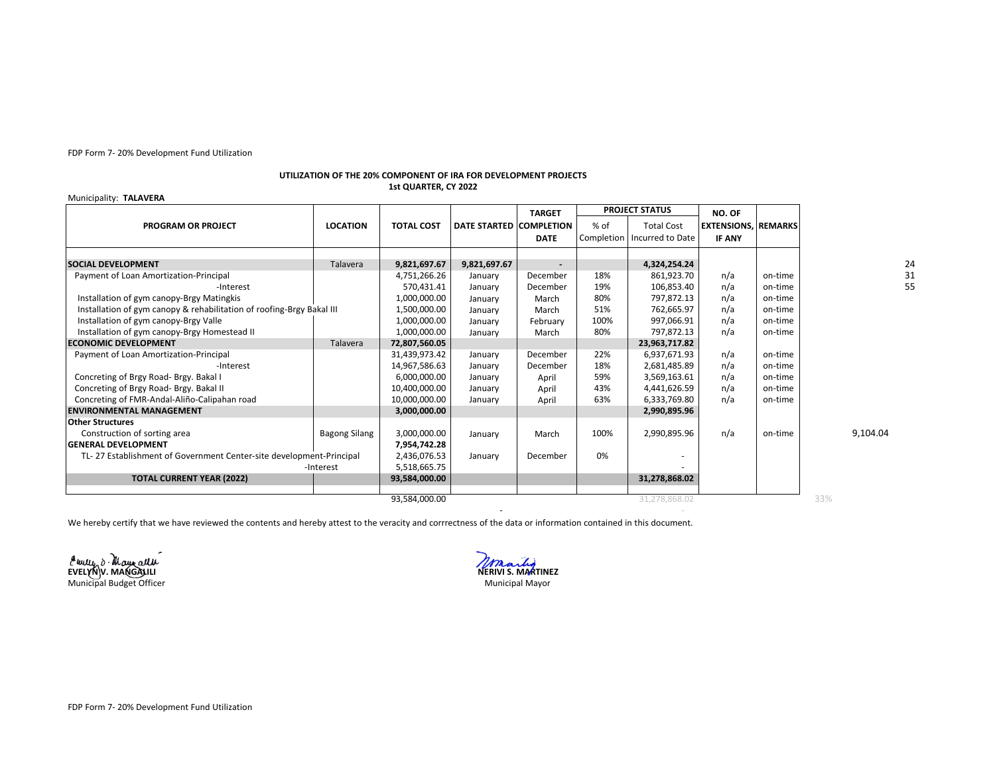FDP Form 7- 20% Development Fund Utilization

## **UTILIZATION OF THE 20% COMPONENT OF IRA FOR DEVELOPMENT PROJECTS 1st QUARTER, CY 2022**

## Municipality: **TALAVERA**

|                                                                       |                      |                   |                         | <b>TARGET</b> | <b>PROJECT STATUS</b> |                               | NO. OF                     |         |          |
|-----------------------------------------------------------------------|----------------------|-------------------|-------------------------|---------------|-----------------------|-------------------------------|----------------------------|---------|----------|
| <b>PROGRAM OR PROJECT</b>                                             | <b>LOCATION</b>      | <b>TOTAL COST</b> | DATE STARTED COMPLETION |               | $%$ of                | <b>Total Cost</b>             | <b>EXTENSIONS, REMARKS</b> |         |          |
|                                                                       |                      |                   |                         | <b>DATE</b>   |                       | Completion   Incurred to Date | <b>IF ANY</b>              |         |          |
|                                                                       |                      |                   |                         |               |                       |                               |                            |         | 24       |
| <b>SOCIAL DEVELOPMENT</b>                                             | Talavera             | 9,821,697.67      | 9,821,697.67            |               |                       | 4,324,254.24                  |                            |         |          |
| Payment of Loan Amortization-Principal                                |                      | 4,751,266.26      | January                 | December      | 18%                   | 861,923.70                    | n/a                        | on-time | 31       |
| -Interest                                                             |                      | 570,431.41        | January                 | December      | 19%                   | 106,853.40                    | n/a                        | on-time | 55       |
| Installation of gym canopy-Brgy Matingkis                             |                      | 1,000,000.00      | January                 | March         | 80%                   | 797,872.13                    | n/a                        | on-time |          |
| Installation of gym canopy & rehabilitation of roofing-Brgy Bakal III |                      | 1,500,000.00      | January                 | March         | 51%                   | 762.665.97                    | n/a                        | on-time |          |
| Installation of gym canopy-Brgy Valle                                 |                      | 1,000,000.00      | January                 | February      | 100%                  | 997,066.91                    | n/a                        | on-time |          |
| Installation of gym canopy-Brgy Homestead II                          |                      | 1,000,000.00      | January                 | March         | 80%                   | 797,872.13                    | n/a                        | on-time |          |
| <b>ECONOMIC DEVELOPMENT</b>                                           | Talavera             | 72,807,560.05     |                         |               |                       | 23,963,717.82                 |                            |         |          |
| Payment of Loan Amortization-Principal                                |                      | 31,439,973.42     | January                 | December      | 22%                   | 6,937,671.93                  | n/a                        | on-time |          |
| -Interest                                                             |                      | 14,967,586.63     | January                 | December      | 18%                   | 2,681,485.89                  | n/a                        | on-time |          |
| Concreting of Brgy Road- Brgy. Bakal I                                |                      | 6,000,000.00      | January                 | April         | 59%                   | 3,569,163.61                  | n/a                        | on-time |          |
| Concreting of Brgy Road- Brgy. Bakal II                               |                      | 10,400,000.00     | January                 | April         | 43%                   | 4,441,626.59                  | n/a                        | on-time |          |
| Concreting of FMR-Andal-Aliño-Calipahan road                          |                      | 10,000,000.00     | January                 | April         | 63%                   | 6,333,769.80                  | n/a                        | on-time |          |
| <b>ENVIRONMENTAL MANAGEMENT</b>                                       |                      | 3,000,000.00      |                         |               |                       | 2,990,895.96                  |                            |         |          |
| <b>Other Structures</b>                                               |                      |                   |                         |               |                       |                               |                            |         |          |
| Construction of sorting area                                          | <b>Bagong Silang</b> | 3,000,000.00      | January                 | March         | 100%                  | 2,990,895.96                  | n/a                        | on-time | 9,104.04 |
| <b>GENERAL DEVELOPMENT</b>                                            |                      | 7,954,742.28      |                         |               |                       |                               |                            |         |          |
| TL-27 Establishment of Government Center-site development-Principal   |                      | 2,436,076.53      | January                 | December      | 0%                    | $\overline{\phantom{a}}$      |                            |         |          |
| -Interest                                                             |                      | 5,518,665.75      |                         |               |                       |                               |                            |         |          |
| <b>TOTAL CURRENT YEAR (2022)</b>                                      |                      | 93,584,000.00     |                         |               |                       | 31,278,868.02                 |                            |         |          |
|                                                                       |                      | 93,584,000.00     |                         |               |                       | 31,278,868.02                 |                            |         | 33%      |

We hereby certify that we have reviewed the contents and hereby attest to the veracity and corrrectness of the data or information contained in this document.

**EVELYN V. MANGALILI NERIVI S. MARTINEZ** Municipal Budget Officer

Municipal Mayor

- -

FDP Form 7- 20% Development Fund Utilization